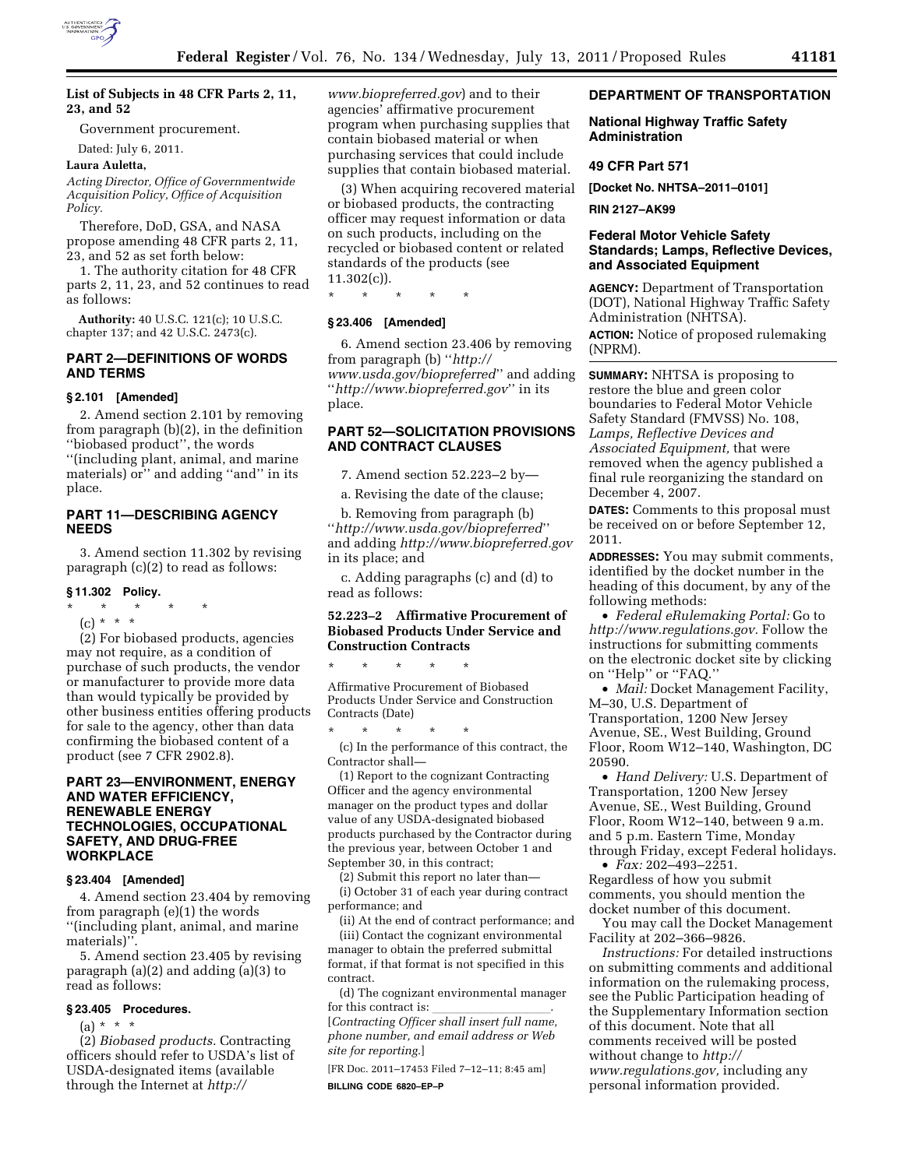

### **List of Subjects in 48 CFR Parts 2, 11, 23, and 52**

Government procurement.

Dated: July 6, 2011.

### **Laura Auletta,**

*Acting Director, Office of Governmentwide Acquisition Policy, Office of Acquisition Policy.* 

Therefore, DoD, GSA, and NASA propose amending 48 CFR parts 2, 11, 23, and 52 as set forth below:

1. The authority citation for 48 CFR parts 2, 11, 23, and 52 continues to read as follows:

**Authority:** 40 U.S.C. 121(c); 10 U.S.C. chapter 137; and 42 U.S.C. 2473(c).

# **PART 2—DEFINITIONS OF WORDS AND TERMS**

### **§ 2.101 [Amended]**

2. Amend section 2.101 by removing from paragraph (b)(2), in the definition ''biobased product'', the words ''(including plant, animal, and marine materials) or'' and adding ''and'' in its place.

# **PART 11—DESCRIBING AGENCY NEEDS**

3. Amend section 11.302 by revising paragraph (c)(2) to read as follows:

### **§ 11.302 Policy.**

\* \* \* \* \*

```
(c) * * *
```
(2) For biobased products, agencies may not require, as a condition of purchase of such products, the vendor or manufacturer to provide more data than would typically be provided by other business entities offering products for sale to the agency, other than data confirming the biobased content of a product (see 7 CFR 2902.8).

## **PART 23—ENVIRONMENT, ENERGY AND WATER EFFICIENCY, RENEWABLE ENERGY TECHNOLOGIES, OCCUPATIONAL SAFETY, AND DRUG-FREE WORKPLACE**

#### **§ 23.404 [Amended]**

4. Amend section 23.404 by removing from paragraph (e)(1) the words ''(including plant, animal, and marine materials)'

5. Amend section 23.405 by revising paragraph (a)(2) and adding (a)(3) to read as follows:

#### **§ 23.405 Procedures.**

 $(a) * * * *$ 

(2) *Biobased products.* Contracting officers should refer to USDA's list of USDA-designated items (available through the Internet at *[http://](http://www.biopreferred.gov)* 

*[www.biopreferred.gov](http://www.biopreferred.gov)*) and to their agencies' affirmative procurement program when purchasing supplies that contain biobased material or when purchasing services that could include supplies that contain biobased material.

(3) When acquiring recovered material or biobased products, the contracting officer may request information or data on such products, including on the recycled or biobased content or related standards of the products (see  $11.302(c)$ .

\* \* \* \* \*

## **§ 23.406 [Amended]**

6. Amend section 23.406 by removing from paragraph (b) ''*[http://](http://www.usda.gov/biopreferred)  [www.usda.gov/biopreferred](http://www.usda.gov/biopreferred)*'' and adding ''*<http://www.biopreferred.gov>*'' in its place.

# **PART 52—SOLICITATION PROVISIONS AND CONTRACT CLAUSES**

7. Amend section 52.223–2 by—

a. Revising the date of the clause;

b. Removing from paragraph (b) ''*<http://www.usda.gov/biopreferred>*'' and adding *<http://www.biopreferred.gov>* in its place; and

c. Adding paragraphs (c) and (d) to read as follows:

# **52.223–2 Affirmative Procurement of Biobased Products Under Service and Construction Contracts**

\* \* \* \* \*

Affirmative Procurement of Biobased Products Under Service and Construction Contracts (Date)

\* \* \* \* \*

(c) In the performance of this contract, the Contractor shall—

(1) Report to the cognizant Contracting Officer and the agency environmental manager on the product types and dollar value of any USDA-designated biobased products purchased by the Contractor during the previous year, between October 1 and September 30, in this contract;

(2) Submit this report no later than—

(i) October 31 of each year during contract performance; and

(ii) At the end of contract performance; and (iii) Contact the cognizant environmental manager to obtain the preferred submittal format, if that format is not specified in this contract.

(d) The cognizant environmental manager

for this contract is: llllllllll. [*Contracting Officer shall insert full name, phone number, and email address or Web site for reporting.*]

[FR Doc. 2011–17453 Filed 7–12–11; 8:45 am] **BILLING CODE 6820–EP–P** 

### **DEPARTMENT OF TRANSPORTATION**

### **National Highway Traffic Safety Administration**

#### **49 CFR Part 571**

**[Docket No. NHTSA–2011–0101]** 

**RIN 2127–AK99** 

# **Federal Motor Vehicle Safety Standards; Lamps, Reflective Devices, and Associated Equipment**

**AGENCY:** Department of Transportation (DOT), National Highway Traffic Safety Administration (NHTSA).

**ACTION:** Notice of proposed rulemaking (NPRM).

**SUMMARY:** NHTSA is proposing to restore the blue and green color boundaries to Federal Motor Vehicle Safety Standard (FMVSS) No. 108, *Lamps, Reflective Devices and Associated Equipment,* that were removed when the agency published a final rule reorganizing the standard on December 4, 2007.

**DATES:** Comments to this proposal must be received on or before September 12, 2011.

**ADDRESSES:** You may submit comments, identified by the docket number in the heading of this document, by any of the following methods:

• *Federal eRulemaking Portal:* Go to *[http://www.regulations.gov.](http://www.regulations.gov)* Follow the instructions for submitting comments on the electronic docket site by clicking on ''Help'' or ''FAQ.''

• *Mail:* Docket Management Facility, M–30, U.S. Department of Transportation, 1200 New Jersey Avenue, SE., West Building, Ground Floor, Room W12–140, Washington, DC 20590.

• *Hand Delivery:* U.S. Department of Transportation, 1200 New Jersey Avenue, SE., West Building, Ground Floor, Room W12–140, between 9 a.m. and 5 p.m. Eastern Time, Monday through Friday, except Federal holidays.

• *Fax:* 202–493–2251. Regardless of how you submit comments, you should mention the docket number of this document.

You may call the Docket Management Facility at 202–366–9826.

*Instructions:* For detailed instructions on submitting comments and additional information on the rulemaking process, see the Public Participation heading of the Supplementary Information section of this document. Note that all comments received will be posted without change to *[http://](http://www.regulations.gov) [www.regulations.gov,](http://www.regulations.gov)* including any personal information provided.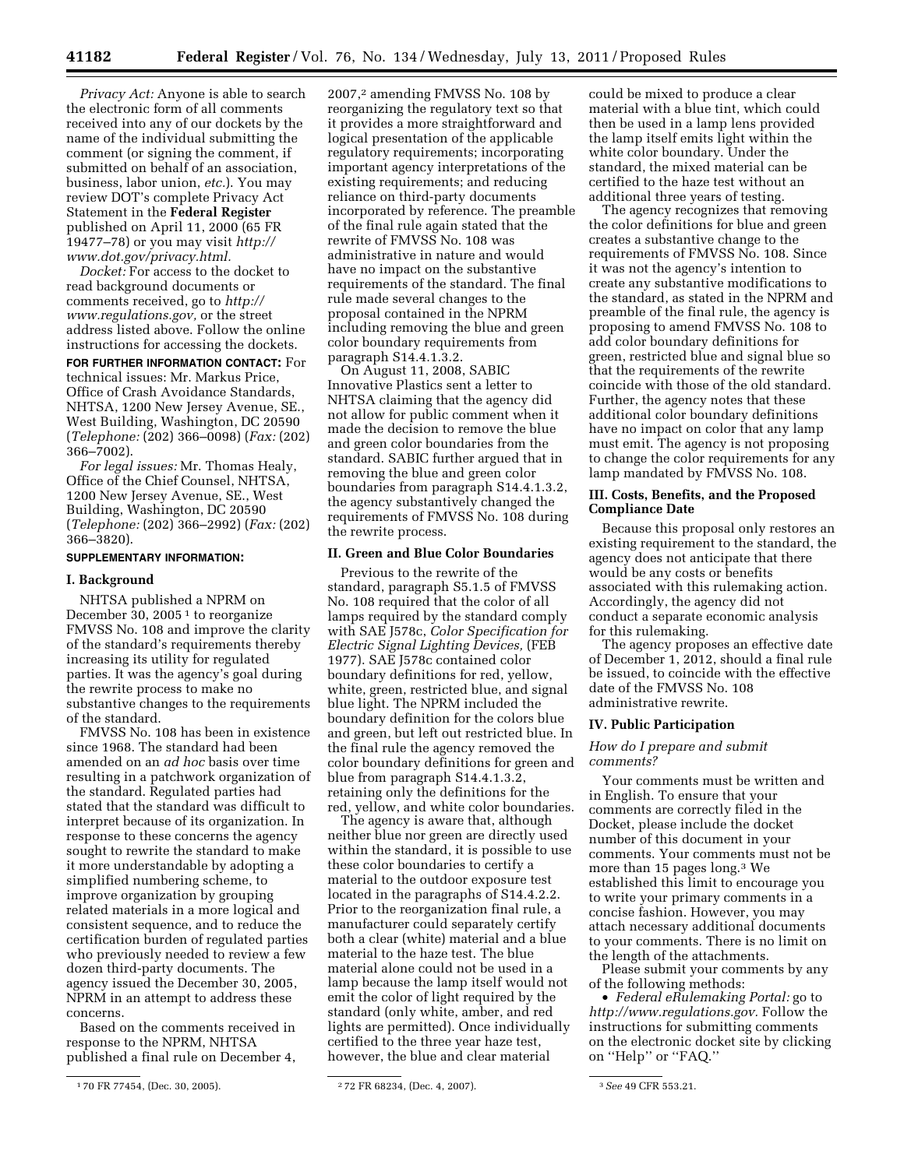*Privacy Act:* Anyone is able to search the electronic form of all comments received into any of our dockets by the name of the individual submitting the comment (or signing the comment, if submitted on behalf of an association, business, labor union, *etc.*). You may review DOT's complete Privacy Act Statement in the **Federal Register**  published on April 11, 2000 (65 FR 19477–78) or you may visit *[http://](http://www.dot.gov/privacy.html) [www.dot.gov/privacy.html.](http://www.dot.gov/privacy.html)* 

*Docket:* For access to the docket to read background documents or comments received, go to *[http://](http://www.regulations.gov)  [www.regulations.gov,](http://www.regulations.gov)* or the street address listed above. Follow the online instructions for accessing the dockets.

**FOR FURTHER INFORMATION CONTACT:** For technical issues: Mr. Markus Price, Office of Crash Avoidance Standards, NHTSA, 1200 New Jersey Avenue, SE., West Building, Washington, DC 20590 (*Telephone:* (202) 366–0098) (*Fax:* (202) 366–7002).

*For legal issues:* Mr. Thomas Healy, Office of the Chief Counsel, NHTSA, 1200 New Jersey Avenue, SE., West Building, Washington, DC 20590 (*Telephone:* (202) 366–2992) (*Fax:* (202) 366–3820).

### **SUPPLEMENTARY INFORMATION:**

#### **I. Background**

NHTSA published a NPRM on December 30, 2005 $1$  to reorganize FMVSS No. 108 and improve the clarity of the standard's requirements thereby increasing its utility for regulated parties. It was the agency's goal during the rewrite process to make no substantive changes to the requirements of the standard.

FMVSS No. 108 has been in existence since 1968. The standard had been amended on an *ad hoc* basis over time resulting in a patchwork organization of the standard. Regulated parties had stated that the standard was difficult to interpret because of its organization. In response to these concerns the agency sought to rewrite the standard to make it more understandable by adopting a simplified numbering scheme, to improve organization by grouping related materials in a more logical and consistent sequence, and to reduce the certification burden of regulated parties who previously needed to review a few dozen third-party documents. The agency issued the December 30, 2005, NPRM in an attempt to address these concerns.

Based on the comments received in response to the NPRM, NHTSA published a final rule on December 4,

2007,2 amending FMVSS No. 108 by reorganizing the regulatory text so that it provides a more straightforward and logical presentation of the applicable regulatory requirements; incorporating important agency interpretations of the existing requirements; and reducing reliance on third-party documents incorporated by reference. The preamble of the final rule again stated that the rewrite of FMVSS No. 108 was administrative in nature and would have no impact on the substantive requirements of the standard. The final rule made several changes to the proposal contained in the NPRM including removing the blue and green color boundary requirements from paragraph S14.4.1.3.2.

On August 11, 2008, SABIC Innovative Plastics sent a letter to NHTSA claiming that the agency did not allow for public comment when it made the decision to remove the blue and green color boundaries from the standard. SABIC further argued that in removing the blue and green color boundaries from paragraph S14.4.1.3.2, the agency substantively changed the requirements of FMVSS No. 108 during the rewrite process.

# **II. Green and Blue Color Boundaries**

Previous to the rewrite of the standard, paragraph S5.1.5 of FMVSS No. 108 required that the color of all lamps required by the standard comply with SAE J578c, *Color Specification for Electric Signal Lighting Devices,* (FEB 1977). SAE J578c contained color boundary definitions for red, yellow, white, green, restricted blue, and signal blue light. The NPRM included the boundary definition for the colors blue and green, but left out restricted blue. In the final rule the agency removed the color boundary definitions for green and blue from paragraph S14.4.1.3.2, retaining only the definitions for the red, yellow, and white color boundaries.

The agency is aware that, although neither blue nor green are directly used within the standard, it is possible to use these color boundaries to certify a material to the outdoor exposure test located in the paragraphs of S14.4.2.2. Prior to the reorganization final rule, a manufacturer could separately certify both a clear (white) material and a blue material to the haze test. The blue material alone could not be used in a lamp because the lamp itself would not emit the color of light required by the standard (only white, amber, and red lights are permitted). Once individually certified to the three year haze test, however, the blue and clear material

could be mixed to produce a clear material with a blue tint, which could then be used in a lamp lens provided the lamp itself emits light within the white color boundary. Under the standard, the mixed material can be certified to the haze test without an additional three years of testing.

The agency recognizes that removing the color definitions for blue and green creates a substantive change to the requirements of FMVSS No. 108. Since it was not the agency's intention to create any substantive modifications to the standard, as stated in the NPRM and preamble of the final rule, the agency is proposing to amend FMVSS No. 108 to add color boundary definitions for green, restricted blue and signal blue so that the requirements of the rewrite coincide with those of the old standard. Further, the agency notes that these additional color boundary definitions have no impact on color that any lamp must emit. The agency is not proposing to change the color requirements for any lamp mandated by FMVSS No. 108.

## **III. Costs, Benefits, and the Proposed Compliance Date**

Because this proposal only restores an existing requirement to the standard, the agency does not anticipate that there would be any costs or benefits associated with this rulemaking action. Accordingly, the agency did not conduct a separate economic analysis for this rulemaking.

The agency proposes an effective date of December 1, 2012, should a final rule be issued, to coincide with the effective date of the FMVSS No. 108 administrative rewrite.

### **IV. Public Participation**

### *How do I prepare and submit comments?*

Your comments must be written and in English. To ensure that your comments are correctly filed in the Docket, please include the docket number of this document in your comments. Your comments must not be more than 15 pages long.3 We established this limit to encourage you to write your primary comments in a concise fashion. However, you may attach necessary additional documents to your comments. There is no limit on the length of the attachments.

Please submit your comments by any of the following methods:

• *Federal eRulemaking Portal:* go to *[http://www.regulations.gov.](http://www.regulations.gov)* Follow the instructions for submitting comments on the electronic docket site by clicking on ''Help'' or ''FAQ.''

<sup>1</sup> 70 FR 77454, (Dec. 30, 2005). 2 72 FR 68234, (Dec. 4, 2007). 3*See* 49 CFR 553.21.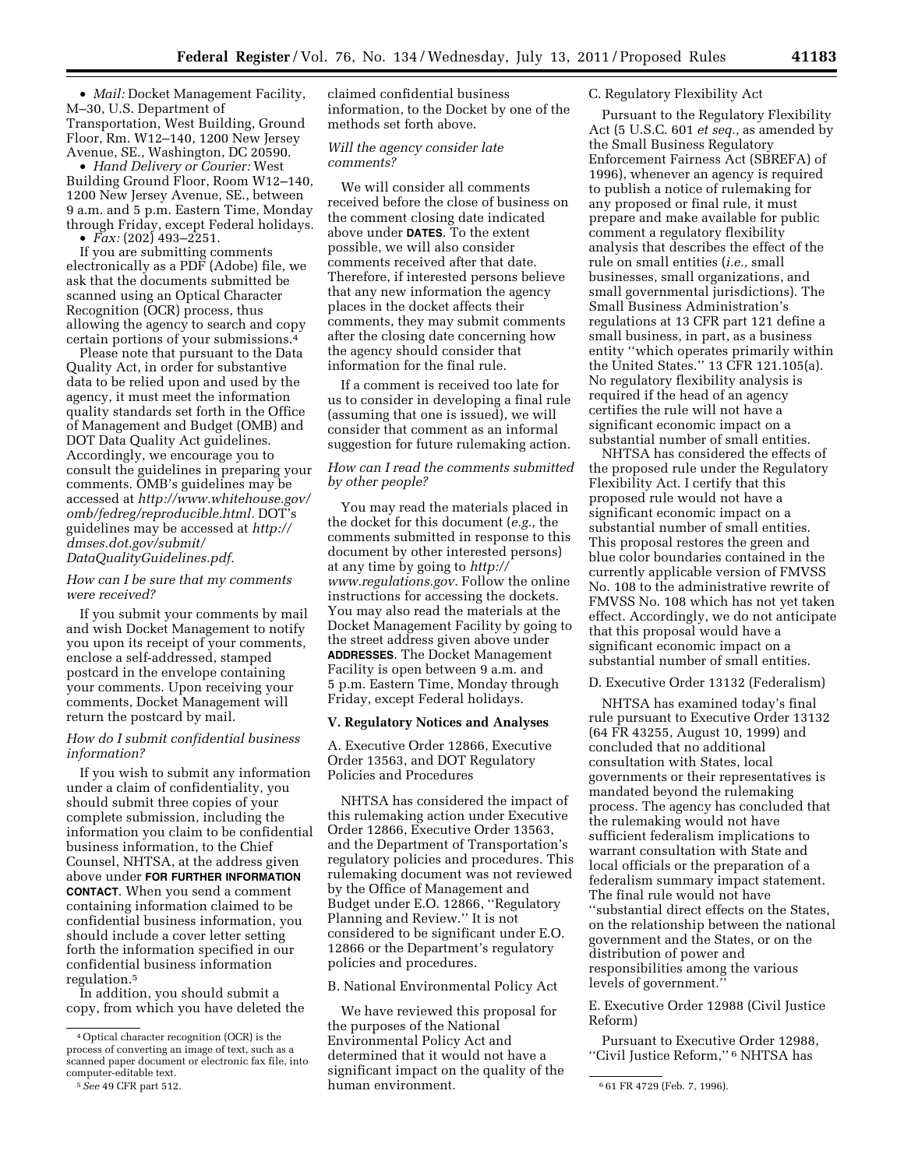• *Mail:* Docket Management Facility, M–30, U.S. Department of Transportation, West Building, Ground Floor, Rm. W12–140, 1200 New Jersey Avenue, SE., Washington, DC 20590.

• *Hand Delivery or Courier:* West Building Ground Floor, Room W12–140, 1200 New Jersey Avenue, SE., between 9 a.m. and 5 p.m. Eastern Time, Monday through Friday, except Federal holidays.

 $\bullet$  *Fax:* (202) 493–2251.

If you are submitting comments electronically as a PDF (Adobe) file, we ask that the documents submitted be scanned using an Optical Character Recognition (OCR) process, thus allowing the agency to search and copy certain portions of your submissions.4

Please note that pursuant to the Data Quality Act, in order for substantive data to be relied upon and used by the agency, it must meet the information quality standards set forth in the Office of Management and Budget (OMB) and DOT Data Quality Act guidelines. Accordingly, we encourage you to consult the guidelines in preparing your comments. OMB's guidelines may be accessed at *[http://www.whitehouse.gov/](http://www.whitehouse.gov/omb/fedreg/reproducible.html) [omb/fedreg/reproducible.html.](http://www.whitehouse.gov/omb/fedreg/reproducible.html)* DOT's guidelines may be accessed at *[http://](http://dmses.dot.gov/submit/DataQualityGuidelines.pdf)  [dmses.dot.gov/submit/](http://dmses.dot.gov/submit/DataQualityGuidelines.pdf)  [DataQualityGuidelines.pdf.](http://dmses.dot.gov/submit/DataQualityGuidelines.pdf)* 

## *How can I be sure that my comments were received?*

If you submit your comments by mail and wish Docket Management to notify you upon its receipt of your comments, enclose a self-addressed, stamped postcard in the envelope containing your comments. Upon receiving your comments, Docket Management will return the postcard by mail.

## *How do I submit confidential business information?*

If you wish to submit any information under a claim of confidentiality, you should submit three copies of your complete submission, including the information you claim to be confidential business information, to the Chief Counsel, NHTSA, at the address given above under **FOR FURTHER INFORMATION CONTACT**. When you send a comment containing information claimed to be confidential business information, you should include a cover letter setting forth the information specified in our confidential business information regulation.5

In addition, you should submit a copy, from which you have deleted the claimed confidential business information, to the Docket by one of the methods set forth above.

## *Will the agency consider late comments?*

We will consider all comments received before the close of business on the comment closing date indicated above under **DATES**. To the extent possible, we will also consider comments received after that date. Therefore, if interested persons believe that any new information the agency places in the docket affects their comments, they may submit comments after the closing date concerning how the agency should consider that information for the final rule.

If a comment is received too late for us to consider in developing a final rule (assuming that one is issued), we will consider that comment as an informal suggestion for future rulemaking action.

## *How can I read the comments submitted by other people?*

You may read the materials placed in the docket for this document (*e.g.,* the comments submitted in response to this document by other interested persons) at any time by going to *[http://](http://www.regulations.gov)  [www.regulations.gov.](http://www.regulations.gov)* Follow the online instructions for accessing the dockets. You may also read the materials at the Docket Management Facility by going to the street address given above under **ADDRESSES**. The Docket Management Facility is open between 9 a.m. and 5 p.m. Eastern Time, Monday through Friday, except Federal holidays.

### **V. Regulatory Notices and Analyses**

A. Executive Order 12866, Executive Order 13563, and DOT Regulatory Policies and Procedures

NHTSA has considered the impact of this rulemaking action under Executive Order 12866, Executive Order 13563, and the Department of Transportation's regulatory policies and procedures. This rulemaking document was not reviewed by the Office of Management and Budget under E.O. 12866, ''Regulatory Planning and Review.'' It is not considered to be significant under E.O. 12866 or the Department's regulatory policies and procedures.

B. National Environmental Policy Act

We have reviewed this proposal for the purposes of the National Environmental Policy Act and determined that it would not have a significant impact on the quality of the human environment.

### C. Regulatory Flexibility Act

Pursuant to the Regulatory Flexibility Act (5 U.S.C. 601 *et seq.,* as amended by the Small Business Regulatory Enforcement Fairness Act (SBREFA) of 1996), whenever an agency is required to publish a notice of rulemaking for any proposed or final rule, it must prepare and make available for public comment a regulatory flexibility analysis that describes the effect of the rule on small entities (*i.e.,* small businesses, small organizations, and small governmental jurisdictions). The Small Business Administration's regulations at 13 CFR part 121 define a small business, in part, as a business entity ''which operates primarily within the United States.'' 13 CFR 121.105(a). No regulatory flexibility analysis is required if the head of an agency certifies the rule will not have a significant economic impact on a substantial number of small entities.

NHTSA has considered the effects of the proposed rule under the Regulatory Flexibility Act. I certify that this proposed rule would not have a significant economic impact on a substantial number of small entities. This proposal restores the green and blue color boundaries contained in the currently applicable version of FMVSS No. 108 to the administrative rewrite of FMVSS No. 108 which has not yet taken effect. Accordingly, we do not anticipate that this proposal would have a significant economic impact on a substantial number of small entities.

## D. Executive Order 13132 (Federalism)

NHTSA has examined today's final rule pursuant to Executive Order 13132 (64 FR 43255, August 10, 1999) and concluded that no additional consultation with States, local governments or their representatives is mandated beyond the rulemaking process. The agency has concluded that the rulemaking would not have sufficient federalism implications to warrant consultation with State and local officials or the preparation of a federalism summary impact statement. The final rule would not have ''substantial direct effects on the States, on the relationship between the national government and the States, or on the distribution of power and responsibilities among the various levels of government.''

E. Executive Order 12988 (Civil Justice Reform)

Pursuant to Executive Order 12988, ''Civil Justice Reform,'' 6 NHTSA has

<sup>4</sup>Optical character recognition (OCR) is the process of converting an image of text, such as a scanned paper document or electronic fax file, into computer-editable text.<br>5 See 49 CFR part 512.

<sup>5</sup>*See* 49 CFR part 512. 6 61 FR 4729 (Feb. 7, 1996).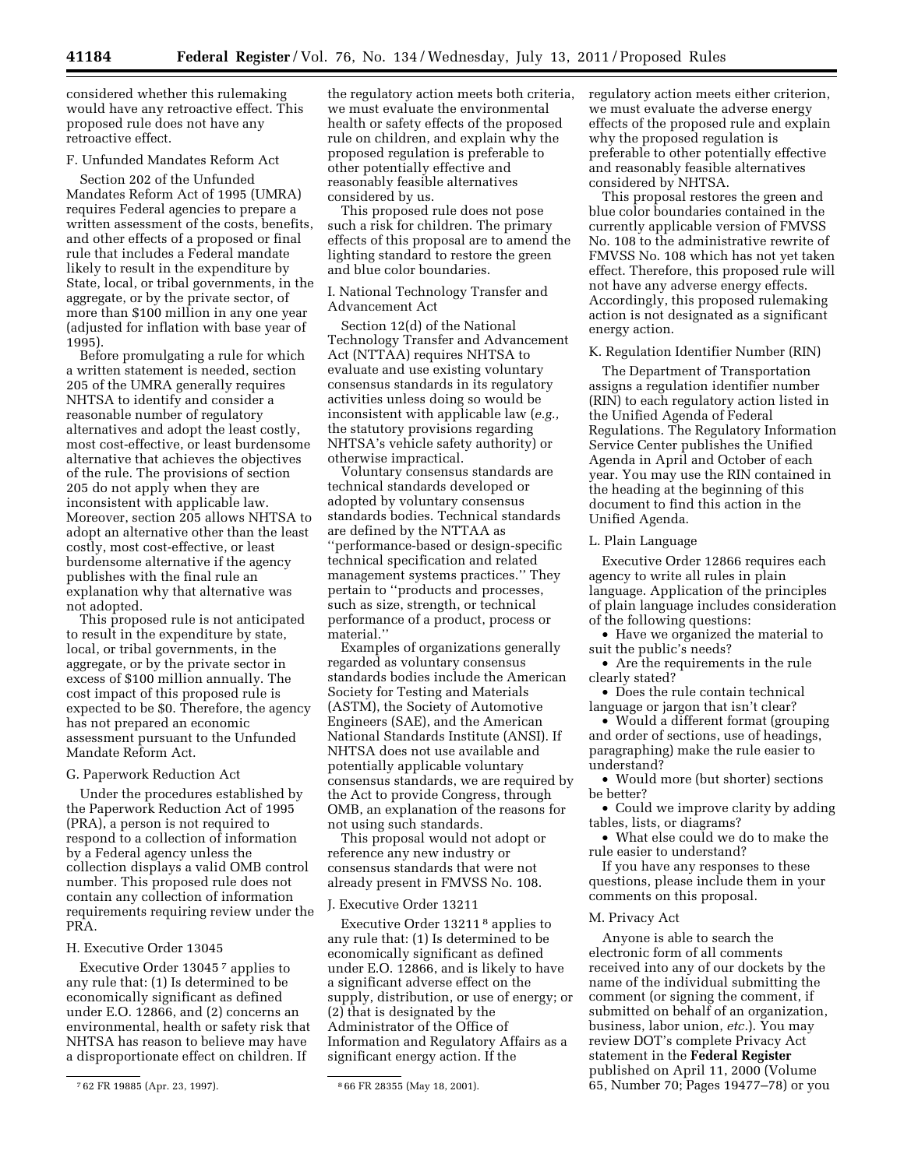considered whether this rulemaking would have any retroactive effect. This proposed rule does not have any retroactive effect.

## F. Unfunded Mandates Reform Act

Section 202 of the Unfunded Mandates Reform Act of 1995 (UMRA) requires Federal agencies to prepare a written assessment of the costs, benefits, and other effects of a proposed or final rule that includes a Federal mandate likely to result in the expenditure by State, local, or tribal governments, in the aggregate, or by the private sector, of more than \$100 million in any one year (adjusted for inflation with base year of 1995).

Before promulgating a rule for which a written statement is needed, section 205 of the UMRA generally requires NHTSA to identify and consider a reasonable number of regulatory alternatives and adopt the least costly, most cost-effective, or least burdensome alternative that achieves the objectives of the rule. The provisions of section 205 do not apply when they are inconsistent with applicable law. Moreover, section 205 allows NHTSA to adopt an alternative other than the least costly, most cost-effective, or least burdensome alternative if the agency publishes with the final rule an explanation why that alternative was not adopted.

This proposed rule is not anticipated to result in the expenditure by state, local, or tribal governments, in the aggregate, or by the private sector in excess of \$100 million annually. The cost impact of this proposed rule is expected to be \$0. Therefore, the agency has not prepared an economic assessment pursuant to the Unfunded Mandate Reform Act.

#### G. Paperwork Reduction Act

Under the procedures established by the Paperwork Reduction Act of 1995 (PRA), a person is not required to respond to a collection of information by a Federal agency unless the collection displays a valid OMB control number. This proposed rule does not contain any collection of information requirements requiring review under the PRA.

### H. Executive Order 13045

Executive Order 13045 7 applies to any rule that: (1) Is determined to be economically significant as defined under E.O. 12866, and (2) concerns an environmental, health or safety risk that NHTSA has reason to believe may have a disproportionate effect on children. If

the regulatory action meets both criteria, we must evaluate the environmental health or safety effects of the proposed rule on children, and explain why the proposed regulation is preferable to other potentially effective and reasonably feasible alternatives considered by us.

This proposed rule does not pose such a risk for children. The primary effects of this proposal are to amend the lighting standard to restore the green and blue color boundaries.

## I. National Technology Transfer and Advancement Act

Section 12(d) of the National Technology Transfer and Advancement Act (NTTAA) requires NHTSA to evaluate and use existing voluntary consensus standards in its regulatory activities unless doing so would be inconsistent with applicable law (*e.g.,*  the statutory provisions regarding NHTSA's vehicle safety authority) or otherwise impractical.

Voluntary consensus standards are technical standards developed or adopted by voluntary consensus standards bodies. Technical standards are defined by the NTTAA as ''performance-based or design-specific technical specification and related management systems practices.'' They pertain to ''products and processes, such as size, strength, or technical performance of a product, process or material.''

Examples of organizations generally regarded as voluntary consensus standards bodies include the American Society for Testing and Materials (ASTM), the Society of Automotive Engineers (SAE), and the American National Standards Institute (ANSI). If NHTSA does not use available and potentially applicable voluntary consensus standards, we are required by the Act to provide Congress, through OMB, an explanation of the reasons for not using such standards.

This proposal would not adopt or reference any new industry or consensus standards that were not already present in FMVSS No. 108.

#### J. Executive Order 13211

Executive Order 13211 8 applies to any rule that: (1) Is determined to be economically significant as defined under E.O. 12866, and is likely to have a significant adverse effect on the supply, distribution, or use of energy; or (2) that is designated by the Administrator of the Office of Information and Regulatory Affairs as a significant energy action. If the

regulatory action meets either criterion, we must evaluate the adverse energy effects of the proposed rule and explain why the proposed regulation is preferable to other potentially effective and reasonably feasible alternatives considered by NHTSA.

This proposal restores the green and blue color boundaries contained in the currently applicable version of FMVSS No. 108 to the administrative rewrite of FMVSS No. 108 which has not yet taken effect. Therefore, this proposed rule will not have any adverse energy effects. Accordingly, this proposed rulemaking action is not designated as a significant energy action.

#### K. Regulation Identifier Number (RIN)

The Department of Transportation assigns a regulation identifier number (RIN) to each regulatory action listed in the Unified Agenda of Federal Regulations. The Regulatory Information Service Center publishes the Unified Agenda in April and October of each year. You may use the RIN contained in the heading at the beginning of this document to find this action in the Unified Agenda.

## L. Plain Language

Executive Order 12866 requires each agency to write all rules in plain language. Application of the principles of plain language includes consideration of the following questions:

• Have we organized the material to suit the public's needs?

• Are the requirements in the rule clearly stated?

• Does the rule contain technical language or jargon that isn't clear?

• Would a different format (grouping and order of sections, use of headings, paragraphing) make the rule easier to understand?

• Would more (but shorter) sections be better?

• Could we improve clarity by adding tables, lists, or diagrams?

• What else could we do to make the rule easier to understand?

If you have any responses to these questions, please include them in your comments on this proposal.

### M. Privacy Act

Anyone is able to search the electronic form of all comments received into any of our dockets by the name of the individual submitting the comment (or signing the comment, if submitted on behalf of an organization, business, labor union, *etc.*). You may review DOT's complete Privacy Act statement in the **Federal Register**  published on April 11, 2000 (Volume 65, Number 70; Pages 19477–78) or you

<sup>7</sup> 62 FR 19885 (Apr. 23, 1997). 8 66 FR 28355 (May 18, 2001).